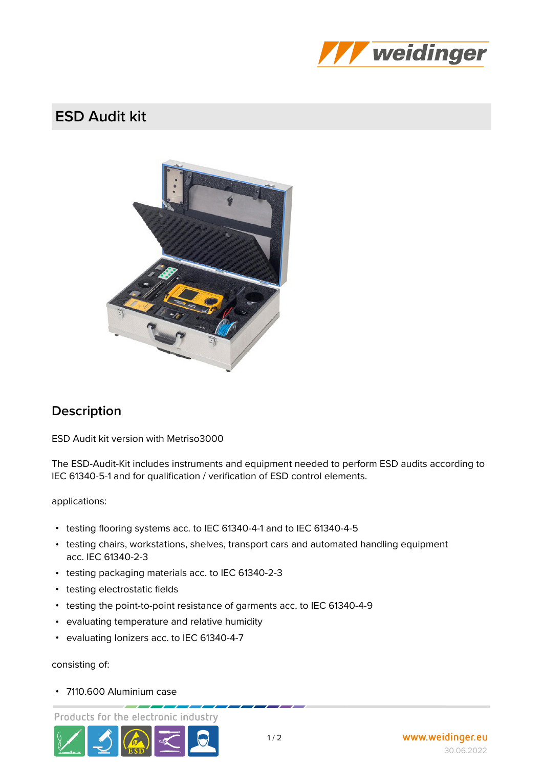

## **ESD Audit kit**



## **Description**

**ESD Audit kit** version with Metriso3000

The ESD-Audit-Kit includes instruments and equipment needed to perform ESD audits according to IEC 61340-5-1 and for qualification / verification of ESD control elements.

**applications:**

- **•** testing flooring systems acc. to IEC 61340-4-1 and to IEC 61340-4-5
- **•** testing chairs, workstations, shelves, transport cars and automated handling equipment acc. IEC 61340-2-3
- **•** testing packaging materials acc. to IEC 61340-2-3
- **•** testing electrostatic fields
- **•** testing the point-to-point resistance of garments acc. to IEC 61340-4-9
- **•** evaluating temperature and relative humidity
- **•** evaluating Ionizers acc. to IEC 61340-4-7

**consisting of:**

**•** 7110.600 Aluminium case

Products for the electronic industry